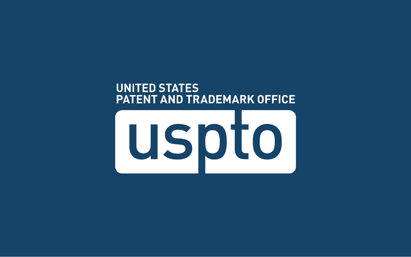#### **UNITED STATES PATENT AND TRADEMARK OFFICE**

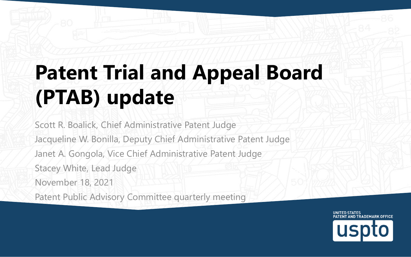#### **Patent Trial and Appeal Board (PTAB) update**

Scott R. Boalick, Chief Administrative Patent Judge Jacqueline W. Bonilla, Deputy Chief Administrative Patent Judge Janet A. Gongola, Vice Chief Administrative Patent Judge Stacey White, Lead Judge November 18, 2021 Patent Public Advisory Committee quarterly meeting

> **UNITED STATES PATENT AND TRADEMARK OFFICE**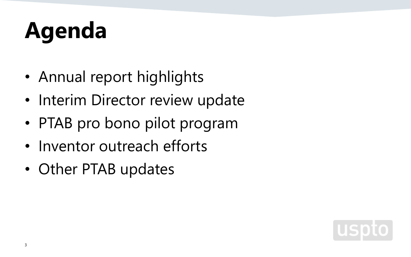## **Agenda**

- Annual report highlights
- Interim Director review update
- PTAB pro bono pilot program
- Inventor outreach efforts
- Other PTAB updates

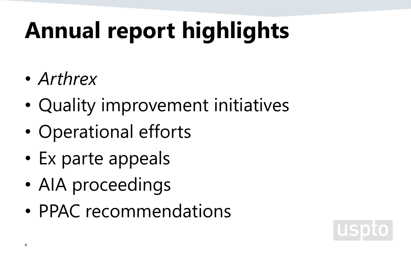# **Annual report highlights**

- *Arthrex*
- Quality improvement initiatives
- Operational efforts
- Ex parte appeals
- AIA proceedings
- PPAC recommendations

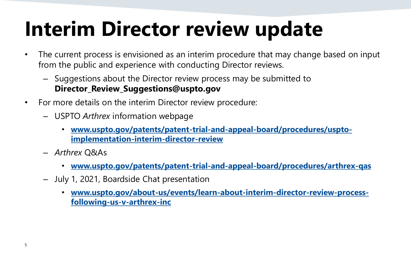#### **Interim Director review update**

- The current process is envisioned as an interim procedure that may change based on input from the public and experience with conducting Director reviews.
	- Suggestions about the Director review process may be submitted to **Director\_Review\_Suggestions@uspto.gov**
- For more details on the interim Director review procedure:
	- USPTO *Arthrex* information webpage
		- **[www.uspto.gov/patents/patent-trial-and-appeal-board/procedures/uspto](http://www.uspto.gov/patents/patent-trial-and-appeal-board/procedures/uspto-implementation-interim-director-review)implementation-interim-director-review**
	- *Arthrex* Q&As
		- **[www.uspto.gov/patents/patent-trial-and-appeal-board/procedures/arthrex-qas](http://www.uspto.gov/patents/patent-trial-and-appeal-board/procedures/arthrex-qas)**
	- July 1, 2021, Boardside Chat presentation
		- **[www.uspto.gov/about-us/events/learn-about-interim-director-review-process](http://www.uspto.gov/about-us/events/learn-about-interim-director-review-process-following-us-v-arthrex-inc)following-us-v-arthrex-inc**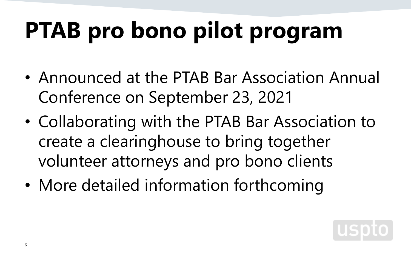## **PTAB pro bono pilot program**

- Announced at the PTAB Bar Association Annual Conference on September 23, 2021
- Collaborating with the PTAB Bar Association to create a clearinghouse to bring together volunteer attorneys and pro bono clients
- More detailed information forthcoming

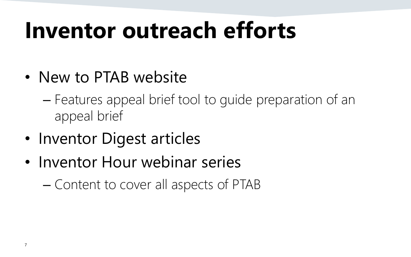## **Inventor outreach efforts**

- New to PTAB website
	- Features appeal brief tool to guide preparation of an appeal brief
- Inventor Digest articles
- Inventor Hour webinar series
	- Content to cover all aspects of PTAB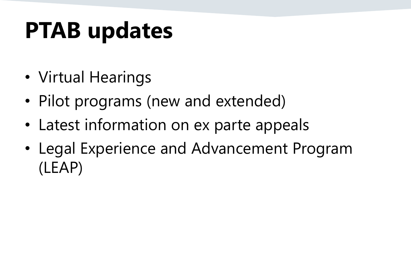## **PTAB updates**

- Virtual Hearings
- Pilot programs (new and extended)
- Latest information on ex parte appeals
- Legal Experience and Advancement Program (LEAP)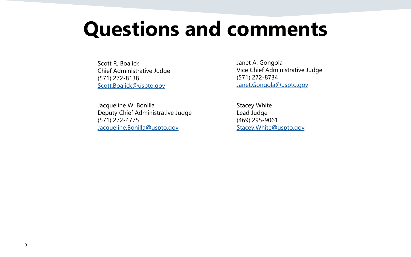#### **Questions and comments**

Scott R. Boalick Chief Administrative Judge (571) 272-8138 [Scott.Boalick@uspto.gov](mailto:Scott.Boalick@uspto.gov)

Jacqueline W. Bonilla Deputy Chief Administrative Judge (571) 272-4775 [Jacqueline.Bonilla@uspto.gov](mailto:Jacqueline.Bonilla@uspto.gov)

Janet A. Gongola Vice Chief Administrative Judge (571) 272-8734 [Janet.Gongola@uspto.gov](mailto:Janet.Gongola@uspto.gov)

Stacey White Lead Judge (469) 295-9061 [Stacey.White@uspto.gov](mailto:Janet.Gongola@uspto.gov)